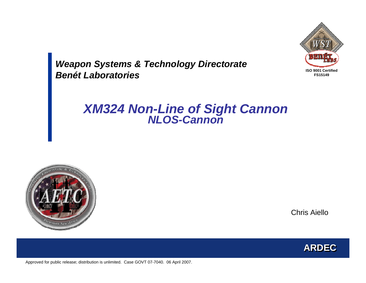

*Weapon Systems & Technology Directorate Benét Laboratories*

# *XM324 Non-Line of Sight Cannon NLOS-Cannon*



Chris Aiello

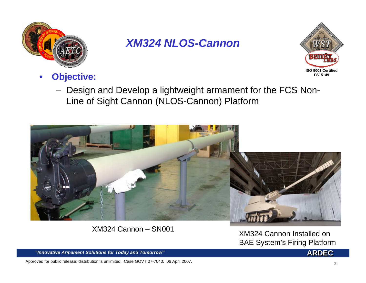



- • **Objective:**
	- Design and Develop a lightweight armament for the FCS Non-Line of Sight Cannon (NLOS-Cannon) Platform



XM324 Cannon – SN001

 XM324 Cannon Installed on BAE System's Firing Platform

"Innovative Armament Solutions for Today and Tomorrow"

Approved for public release; distribution is unlimited. Case GOVT 07-7040. 06 April 2007.

**ARDEC**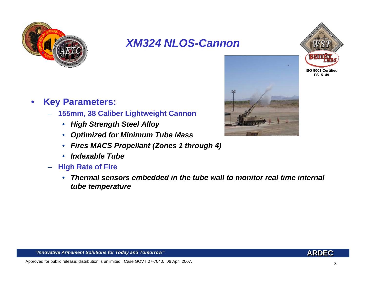



- $\bullet$  **Key Parameters:**
	- **155mm, 38 Caliber Lightweight Cannon** 
		- *High Strength Steel Alloy*
		- *Optimized for Minimum Tube Mass*
		- *Fires MACS Propellant (Zones 1 through 4)*
		- *Indexable Tube*
	- – **High Rate of Fire**
		- *Thermal sensors embedded in the tube wall to monitor real time internal tube temperature*



#### **"Innovative Armament Solutions for Today and Tomorrow"**

Approved for public release; distribution is unlimited. Case GOVT 07-7040. 06 April 2007.

**ARDEC**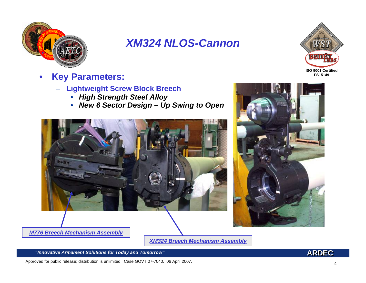



- • **Key Parameters:**
	- **Lightweight Screw Block Breech**
		- *High Strength Steel Alloy*
		- •*New 6 Sector Design – Up Swing to Open*





*M776 Breech Mechanism Assembly*

*XM324 Breech Mechanism Assembly*

"Innovative Armament Solutions for Today and Tomorrow"

Approved for public release; distribution is unlimited. Case GOVT 07-7040. 06 April 2007.

4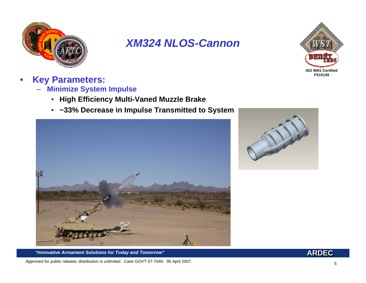



- $\bullet$  **Key Parameters:**
	- – **Minimize System Impulse**
		- •**High Efficiency Multi-Vaned Muzzle Brake**
		- $\bullet$ **~33% Decrease in Impulse Transmitted to System**





*"Innovative Armament Solutions for Today and Tomorrow"*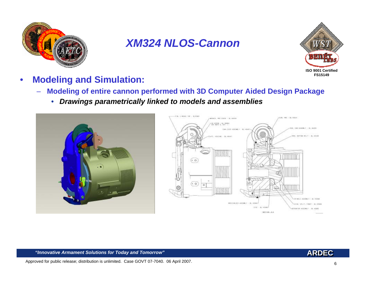



- $\bullet$  **Modeling and Simulation:**
	- – **Modeling of entire cannon performed with 3D Computer Aided Design Package**
		- $\bullet$ *Drawings parametrically linked to models and assemblies*





#### **"Innovative Armament Solutions for Today and Tomorrow"**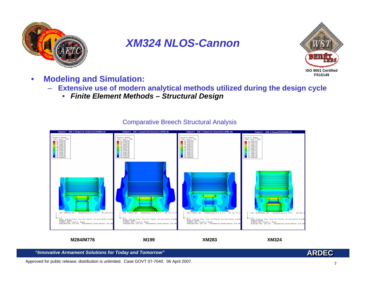



- • **Modeling and Simulation:**
	- – **Extensive use of modern analytical methods utilized during the design cycle**
		- *Finite Element Methods – Structural Design*



### Comparative Breech Structural Analysis

**M284/M776 M199 XM283 XM324**

**"Innovative Armament Solutions for Today and Tomorrow"** 

Approved for public release; distribution is unlimited. Case GOVT 07-7040. 06 April 2007.

**ARDEC**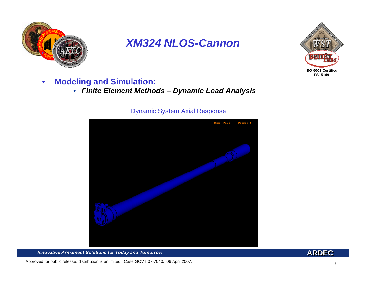



- $\bullet$  **Modeling and Simulation:**
	- *Finite Element Methods – Dynamic Load Analysis*

### Dynamic System Axial Response



"Innovative Armament Solutions for Today and Tomorrow"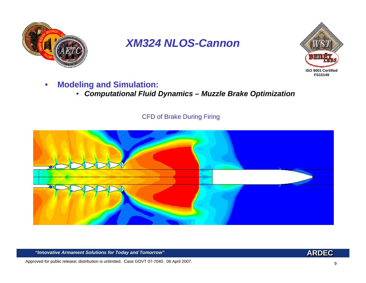



#### $\bullet$ **Modeling and Simulation:**

• *Computational Fluid Dynamics – Muzzle Brake Optimization*

### CFD of Brake During Firing



"Innovative Armament Solutions for Today and Tomorrow"

**ARDEC**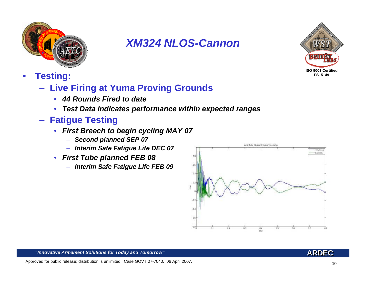



- • **Testing:**
	- **Live Firing at Yuma Proving Grounds**
		- *44 Rounds Fired to date*
		- *Test Data indicates performance within expected ranges*
	- **Fatigue Testing**
		- *First Breech to begin cycling MAY 07*
			- *Second planned SEP 07*
			- *Interim Safe Fatigue Life DEC 07*
		- *First Tube planned FEB 08*
			- *Interim Safe Fatigue Life FEB 09*